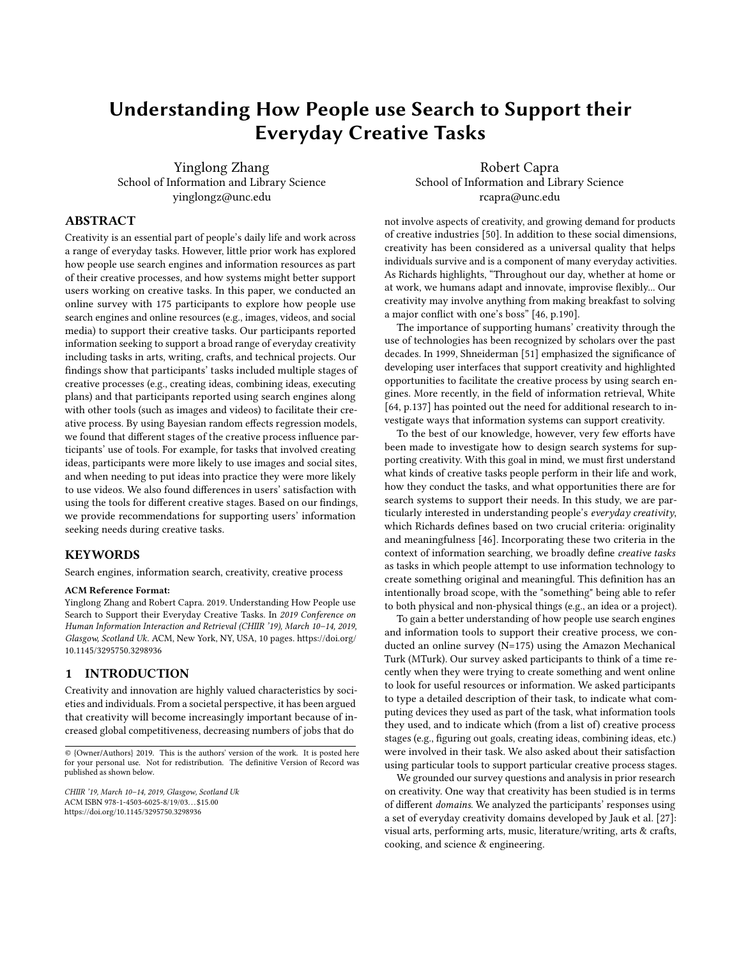# Understanding How People use Search to Support their Everyday Creative Tasks

Yinglong Zhang School of Information and Library Science yinglongz@unc.edu

Robert Capra School of Information and Library Science rcapra@unc.edu

# ABSTRACT

Creativity is an essential part of people's daily life and work across a range of everyday tasks. However, little prior work has explored how people use search engines and information resources as part of their creative processes, and how systems might better support users working on creative tasks. In this paper, we conducted an online survey with 175 participants to explore how people use search engines and online resources (e.g., images, videos, and social media) to support their creative tasks. Our participants reported information seeking to support a broad range of everyday creativity including tasks in arts, writing, crafts, and technical projects. Our findings show that participants' tasks included multiple stages of creative processes (e.g., creating ideas, combining ideas, executing plans) and that participants reported using search engines along with other tools (such as images and videos) to facilitate their creative process. By using Bayesian random effects regression models, we found that different stages of the creative process influence participants' use of tools. For example, for tasks that involved creating ideas, participants were more likely to use images and social sites, and when needing to put ideas into practice they were more likely to use videos. We also found differences in users' satisfaction with using the tools for different creative stages. Based on our findings, we provide recommendations for supporting users' information seeking needs during creative tasks.

#### KEYWORDS

Search engines, information search, creativity, creative process

# ACM Reference Format:

Yinglong Zhang and Robert Capra. 2019. Understanding How People use Search to Support their Everyday Creative Tasks. In 2019 Conference on Human Information Interaction and Retrieval (CHIIR '19), March 10–14, 2019, Glasgow, Scotland Uk. ACM, New York, NY, USA, [10](#page-9-0) pages. [https://doi.org/](https://doi.org/10.1145/3295750.3298936) [10.1145/3295750.3298936](https://doi.org/10.1145/3295750.3298936)

# 1 INTRODUCTION

Creativity and innovation are highly valued characteristics by societies and individuals. From a societal perspective, it has been argued that creativity will become increasingly important because of increased global competitiveness, decreasing numbers of jobs that do

not involve aspects of creativity, and growing demand for products of creative industries [\[50\]](#page-8-0). In addition to these social dimensions, creativity has been considered as a universal quality that helps individuals survive and is a component of many everyday activities. As Richards highlights, "Throughout our day, whether at home or at work, we humans adapt and innovate, improvise flexibly... Our creativity may involve anything from making breakfast to solving a major conflict with one's boss" [\[46,](#page-8-1) p.190].

The importance of supporting humans' creativity through the use of technologies has been recognized by scholars over the past decades. In 1999, [Shneiderman](#page-8-2) [\[51\]](#page-8-2) emphasized the significance of developing user interfaces that support creativity and highlighted opportunities to facilitate the creative process by using search engines. More recently, in the field of information retrieval, White [\[64,](#page-8-3) p.137] has pointed out the need for additional research to investigate ways that information systems can support creativity.

To the best of our knowledge, however, very few efforts have been made to investigate how to design search systems for supporting creativity. With this goal in mind, we must first understand what kinds of creative tasks people perform in their life and work, how they conduct the tasks, and what opportunities there are for search systems to support their needs. In this study, we are particularly interested in understanding people's everyday creativity, which [Richards](#page-8-1) defines based on two crucial criteria: originality and meaningfulness [\[46\]](#page-8-1). Incorporating these two criteria in the context of information searching, we broadly define creative tasks as tasks in which people attempt to use information technology to create something original and meaningful. This definition has an intentionally broad scope, with the "something" being able to refer to both physical and non-physical things (e.g., an idea or a project).

To gain a better understanding of how people use search engines and information tools to support their creative process, we conducted an online survey (N=175) using the Amazon Mechanical Turk (MTurk). Our survey asked participants to think of a time recently when they were trying to create something and went online to look for useful resources or information. We asked participants to type a detailed description of their task, to indicate what computing devices they used as part of the task, what information tools they used, and to indicate which (from a list of) creative process stages (e.g., figuring out goals, creating ideas, combining ideas, etc.) were involved in their task. We also asked about their satisfaction using particular tools to support particular creative process stages.

We grounded our survey questions and analysis in prior research on creativity. One way that creativity has been studied is in terms of different *domains*. We analyzed the participants' responses using a set of everyday creativity domains developed by [Jauk et al.](#page-8-4) [\[27\]](#page-8-4): visual arts, performing arts, music, literature/writing, arts & crafts, cooking, and science & engineering.

<sup>© {</sup>Owner/Authors} 2019. This is the authors' version of the work. It is posted here for your personal use. Not for redistribution. The definitive Version of Record was published as shown below.

CHIIR '19, March 10–14, 2019, Glasgow, Scotland Uk ACM ISBN 978-1-4503-6025-8/19/03. . . \$15.00 <https://doi.org/10.1145/3295750.3298936>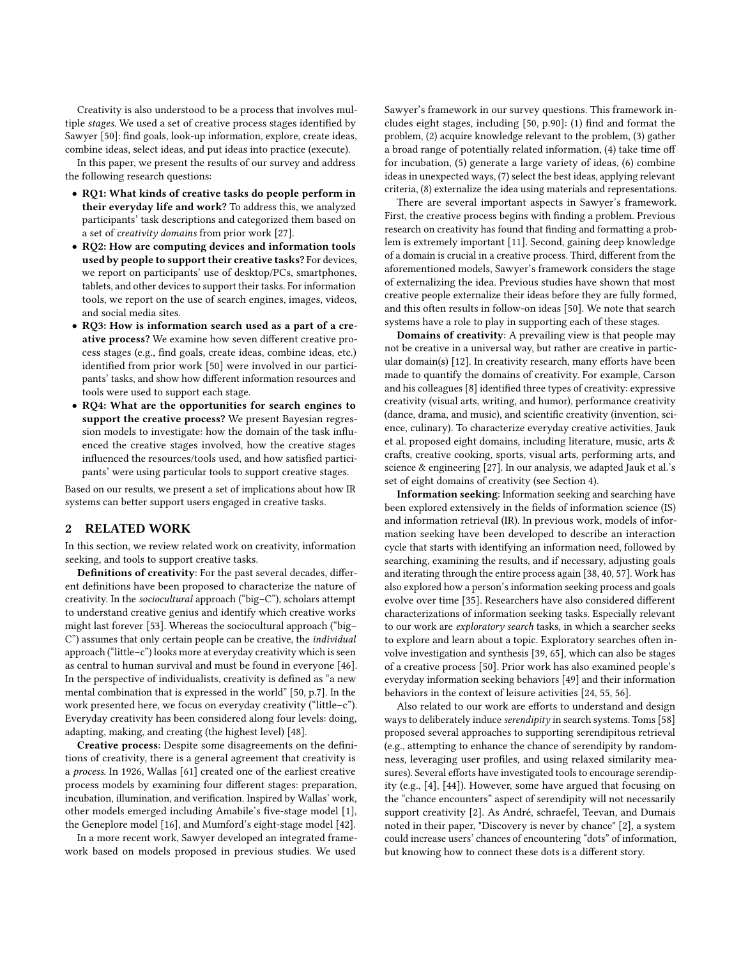Creativity is also understood to be a process that involves multiple stages. We used a set of creative process stages identified by Sawyer [\[50\]](#page-8-0): find goals, look-up information, explore, create ideas, combine ideas, select ideas, and put ideas into practice (execute).

In this paper, we present the results of our survey and address the following research questions:

- RQ1: What kinds of creative tasks do people perform in their everyday life and work? To address this, we analyzed participants' task descriptions and categorized them based on a set of creativity domains from prior work [\[27\]](#page-8-4).
- RQ2: How are computing devices and information tools used by people to support their creative tasks? For devices, we report on participants' use of desktop/PCs, smartphones, tablets, and other devices to support their tasks. For information tools, we report on the use of search engines, images, videos, and social media sites.
- RQ3: How is information search used as a part of a creative process? We examine how seven different creative process stages (e.g., find goals, create ideas, combine ideas, etc.) identified from prior work [\[50\]](#page-8-0) were involved in our participants' tasks, and show how different information resources and tools were used to support each stage.
- RQ4: What are the opportunities for search engines to support the creative process? We present Bayesian regression models to investigate: how the domain of the task influenced the creative stages involved, how the creative stages influenced the resources/tools used, and how satisfied participants' were using particular tools to support creative stages.

Based on our results, we present a set of implications about how IR systems can better support users engaged in creative tasks.

## 2 RELATED WORK

In this section, we review related work on creativity, information seeking, and tools to support creative tasks.

Definitions of creativity: For the past several decades, different definitions have been proposed to characterize the nature of creativity. In the sociocultural approach ("big–C"), scholars attempt to understand creative genius and identify which creative works might last forever [\[53\]](#page-8-5). Whereas the sociocultural approach ("big– C") assumes that only certain people can be creative, the individual approach ("little–c") looks more at everyday creativity which is seen as central to human survival and must be found in everyone [\[46\]](#page-8-1). In the perspective of individualists, creativity is defined as "a new mental combination that is expressed in the world" [\[50,](#page-8-0) p.7]. In the work presented here, we focus on everyday creativity ("little–c"). Everyday creativity has been considered along four levels: doing, adapting, making, and creating (the highest level) [\[48\]](#page-8-6).

Creative process: Despite some disagreements on the definitions of creativity, there is a general agreement that creativity is a process. In 1926, Wallas [\[61\]](#page-8-7) created one of the earliest creative process models by examining four different stages: preparation, incubation, illumination, and verification. Inspired by Wallas' work, other models emerged including Amabile's five-stage model [\[1\]](#page-8-8), the Geneplore model [\[16\]](#page-8-9), and Mumford's eight-stage model [\[42\]](#page-8-10).

In a more recent work, Sawyer developed an integrated framework based on models proposed in previous studies. We used

Sawyer's framework in our survey questions. This framework includes eight stages, including  $[50, p.90]$  $[50, p.90]$ : (1) find and format the problem, (2) acquire knowledge relevant to the problem, (3) gather a broad range of potentially related information, (4) take time o for incubation, (5) generate a large variety of ideas, (6) combine ideas in unexpected ways, (7) select the best ideas, applying relevant criteria, (8) externalize the idea using materials and representations.

There are several important aspects in Sawyer's framework. First, the creative process begins with finding a problem. Previous research on creativity has found that finding and formatting a problem is extremely important [\[11\]](#page-8-11). Second, gaining deep knowledge of a domain is crucial in a creative process. Third, different from the aforementioned models, Sawyer's framework considers the stage of externalizing the idea. Previous studies have shown that most creative people externalize their ideas before they are fully formed, and this often results in follow-on ideas [\[50\]](#page-8-0). We note that search systems have a role to play in supporting each of these stages.

Domains of creativity: A prevailing view is that people may not be creative in a universal way, but rather are creative in particular domain(s)  $[12]$ . In creativity research, many efforts have been made to quantify the domains of creativity. For example, Carson and his colleagues [\[8\]](#page-8-13) identified three types of creativity: expressive creativity (visual arts, writing, and humor), performance creativity (dance, drama, and music), and scientific creativity (invention, science, culinary). To characterize everyday creative activities, [Jauk](#page-8-4) [et al.](#page-8-4) proposed eight domains, including literature, music, arts & crafts, creative cooking, sports, visual arts, performing arts, and science & engineering [\[27\]](#page-8-4). In our analysis, we adapted [Jauk et al.'](#page-8-4)s set of eight domains of creativity (see Section 4).

Information seeking: Information seeking and searching have been explored extensively in the fields of information science (IS) and information retrieval (IR). In previous work, models of information seeking have been developed to describe an interaction cycle that starts with identifying an information need, followed by searching, examining the results, and if necessary, adjusting goals and iterating through the entire process again [\[38,](#page-8-14) [40,](#page-8-15) [57\]](#page-8-16). Work has also explored how a person's information seeking process and goals evolve over time [\[35\]](#page-8-17). Researchers have also considered different characterizations of information seeking tasks. Especially relevant to our work are exploratory search tasks, in which a searcher seeks to explore and learn about a topic. Exploratory searches often involve investigation and synthesis [\[39,](#page-8-18) [65\]](#page-8-19), which can also be stages of a creative process [\[50\]](#page-8-0). Prior work has also examined people's everyday information seeking behaviors [\[49\]](#page-8-20) and their information behaviors in the context of leisure activities [\[24,](#page-8-21) [55,](#page-8-22) [56\]](#page-8-23).

Also related to our work are efforts to understand and design ways to deliberately induce serendipity in search systems. Toms [\[58\]](#page-8-24) proposed several approaches to supporting serendipitous retrieval (e.g., attempting to enhance the chance of serendipity by randomness, leveraging user profiles, and using relaxed similarity measures). Several efforts have investigated tools to encourage serendipity (e.g., [\[4\]](#page-8-25), [\[44\]](#page-8-26)). However, some have argued that focusing on the "chance encounters" aspect of serendipity will not necessarily support creativity [\[2\]](#page-8-27). As André, schraefel, Teevan, and Dumais noted in their paper, "Discovery is never by chance" [\[2\]](#page-8-27), a system could increase users' chances of encountering "dots" of information, but knowing how to connect these dots is a different story.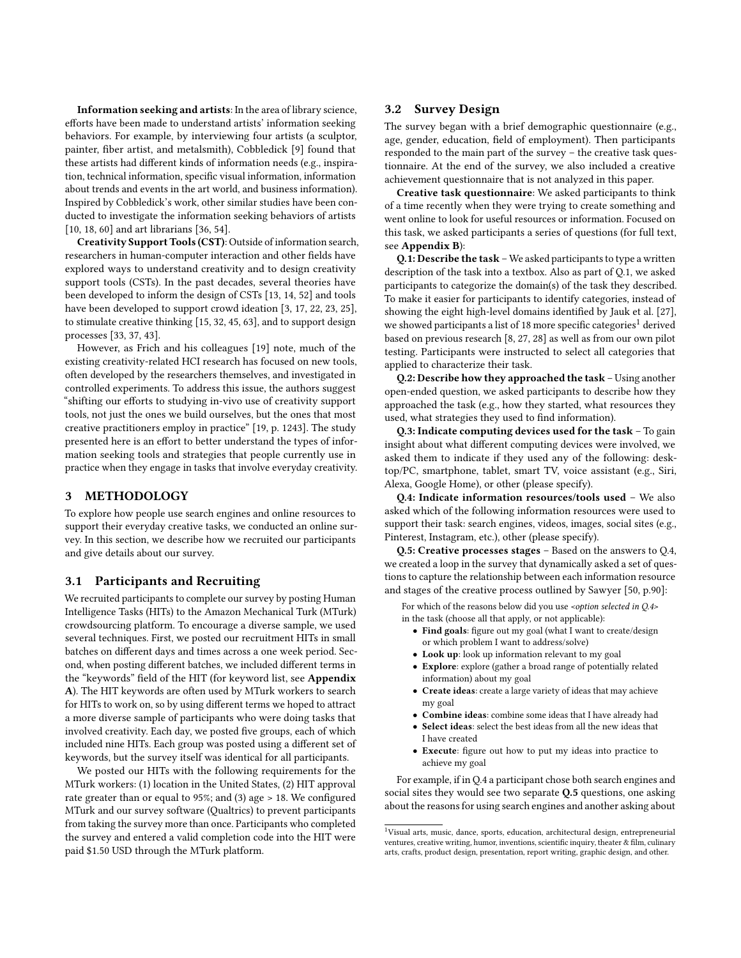Information seeking and artists: In the area of library science, efforts have been made to understand artists' information seeking behaviors. For example, by interviewing four artists (a sculptor, painter, fiber artist, and metalsmith), Cobbledick [\[9\]](#page-8-28) found that these artists had different kinds of information needs (e.g., inspiration, technical information, specific visual information, information about trends and events in the art world, and business information). Inspired by Cobbledick's work, other similar studies have been conducted to investigate the information seeking behaviors of artists [\[10,](#page-8-29) [18,](#page-8-30) [60\]](#page-8-31) and art librarians [\[36,](#page-8-32) [54\]](#page-8-33).

Creativity Support Tools (CST): Outside of information search, researchers in human-computer interaction and other fields have explored ways to understand creativity and to design creativity support tools (CSTs). In the past decades, several theories have been developed to inform the design of CSTs [\[13,](#page-8-34) [14,](#page-8-35) [52\]](#page-8-36) and tools have been developed to support crowd ideation [\[3,](#page-8-37) [17,](#page-8-38) [22,](#page-8-39) [23,](#page-8-40) [25\]](#page-8-41), to stimulate creative thinking [\[15,](#page-8-42) [32,](#page-8-43) [45,](#page-8-44) [63\]](#page-8-45), and to support design processes [\[33,](#page-8-46) [37,](#page-8-47) [43\]](#page-8-48).

However, as Frich and his colleagues [\[19\]](#page-8-49) note, much of the existing creativity-related HCI research has focused on new tools, often developed by the researchers themselves, and investigated in controlled experiments. To address this issue, the authors suggest "shifting our efforts to studying in-vivo use of creativity support tools, not just the ones we build ourselves, but the ones that most creative practitioners employ in practice" [\[19,](#page-8-49) p. 1243]. The study presented here is an effort to better understand the types of information seeking tools and strategies that people currently use in practice when they engage in tasks that involve everyday creativity.

# 3 METHODOLOGY

To explore how people use search engines and online resources to support their everyday creative tasks, we conducted an online survey. In this section, we describe how we recruited our participants and give details about our survey.

#### 3.1 Participants and Recruiting

We recruited participants to complete our survey by posting Human Intelligence Tasks (HITs) to the Amazon Mechanical Turk (MTurk) crowdsourcing platform. To encourage a diverse sample, we used several techniques. First, we posted our recruitment HITs in small batches on different days and times across a one week period. Second, when posting different batches, we included different terms in the "keywords" field of the HIT (for keyword list, see Appendix [A](#page-9-1)). The HIT keywords are often used by MTurk workers to search for HITs to work on, so by using different terms we hoped to attract a more diverse sample of participants who were doing tasks that involved creativity. Each day, we posted five groups, each of which included nine HITs. Each group was posted using a different set of keywords, but the survey itself was identical for all participants.

We posted our HITs with the following requirements for the MTurk workers: (1) location in the United States, (2) HIT approval rate greater than or equal to  $95\%$ ; and (3) age  $> 18$ . We configured MTurk and our survey software (Qualtrics) to prevent participants from taking the survey more than once. Participants who completed the survey and entered a valid completion code into the HIT were paid \$1.50 USD through the MTurk platform.

# 3.2 Survey Design

The survey began with a brief demographic questionnaire (e.g., age, gender, education, field of employment). Then participants responded to the main part of the survey – the creative task questionnaire. At the end of the survey, we also included a creative achievement questionnaire that is not analyzed in this paper.

Creative task questionnaire: We asked participants to think of a time recently when they were trying to create something and went online to look for useful resources or information. Focused on this task, we asked participants a series of questions (for full text, see Appendix [B](#page-9-2)):

Q.1: Describe the task – We asked participants to type a written description of the task into a textbox. Also as part of Q.1, we asked participants to categorize the domain(s) of the task they described. To make it easier for participants to identify categories, instead of showing the eight high-level domains identified by [Jauk et al.](#page-8-4) [\[27\]](#page-8-4), we showed participants a list of [1](#page-2-0)8 more specific categories<sup>1</sup> derived based on previous research [\[8,](#page-8-13) [27,](#page-8-4) [28\]](#page-8-50) as well as from our own pilot testing. Participants were instructed to select all categories that applied to characterize their task.

Q.2: Describe how they approached the task – Using another open-ended question, we asked participants to describe how they approached the task (e.g., how they started, what resources they used, what strategies they used to find information).

Q.3: Indicate computing devices used for the task – To gain insight about what different computing devices were involved, we asked them to indicate if they used any of the following: desktop/PC, smartphone, tablet, smart TV, voice assistant (e.g., Siri, Alexa, Google Home), or other (please specify).

Q.4: Indicate information resources/tools used – We also asked which of the following information resources were used to support their task: search engines, videos, images, social sites (e.g., Pinterest, Instagram, etc.), other (please specify).

Q.5: Creative processes stages – Based on the answers to Q.4, we created a loop in the survey that dynamically asked a set of questions to capture the relationship between each information resource and stages of the creative process outlined by Sawyer [\[50,](#page-8-0) p.90]:

For which of the reasons below did you use <option selected in  $Q.4$ > in the task (choose all that apply, or not applicable):

- Find goals: figure out my goal (what I want to create/design or which problem I want to address/solve)
- Look up: look up information relevant to my goal
- Explore: explore (gather a broad range of potentially related information) about my goal
- Create ideas: create a large variety of ideas that may achieve my goal
- Combine ideas: combine some ideas that I have already had
- Select ideas: select the best ideas from all the new ideas that I have created
- Execute: figure out how to put my ideas into practice to achieve my goal

For example, if in Q.4 a participant chose both search engines and social sites they would see two separate Q.5 questions, one asking about the reasons for using search engines and another asking about

<span id="page-2-0"></span><sup>1</sup>Visual arts, music, dance, sports, education, architectural design, entrepreneurial ventures, creative writing, humor, inventions, scientific inquiry, theater & film, culinary arts, crafts, product design, presentation, report writing, graphic design, and other.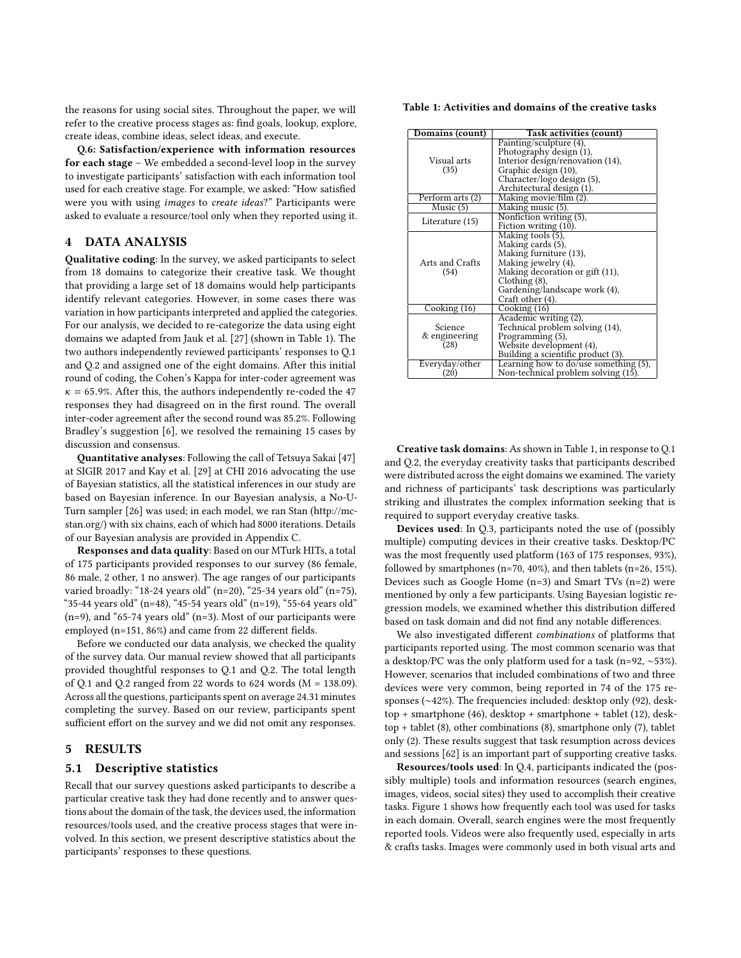the reasons for using social sites. Throughout the paper, we will refer to the creative process stages as: find goals, lookup, explore, create ideas, combine ideas, select ideas, and execute.

Q.6: Satisfaction/experience with information resources for each stage – We embedded a second-level loop in the survey to investigate participants' satisfaction with each information tool used for each creative stage. For example, we asked: "How satisfied were you with using images to create ideas?" Participants were asked to evaluate a resource/tool only when they reported using it.

# 4 DATA ANALYSIS

Qualitative coding: In the survey, we asked participants to select from 18 domains to categorize their creative task. We thought that providing a large set of 18 domains would help participants identify relevant categories. However, in some cases there was variation in how participants interpreted and applied the categories. For our analysis, we decided to re-categorize the data using eight domains we adapted from [Jauk et al.](#page-8-4) [\[27\]](#page-8-4) (shown in Table [1\)](#page-3-0). The two authors independently reviewed participants' responses to Q.1 and Q.2 and assigned one of the eight domains. After this initial round of coding, the Cohen's Kappa for inter-coder agreement was  $\kappa$  = 65.9%. After this, the authors independently re-coded the 47 responses they had disagreed on in the first round. The overall inter-coder agreement after the second round was 85.2%. Following Bradley's suggestion [\[6\]](#page-8-51), we resolved the remaining 15 cases by discussion and consensus.

Quantitative analyses: Following the call of Tetsuya Sakai [\[47\]](#page-8-52) at SIGIR 2017 and [Kay et al.](#page-8-53) [\[29\]](#page-8-53) at CHI 2016 advocating the use of Bayesian statistics, all the statistical inferences in our study are based on Bayesian inference. In our Bayesian analysis, a No-U-Turn sampler [\[26\]](#page-8-54) was used; in each model, we ran Stan (http://mcstan.org/) with six chains, each of which had 8000 iterations. Details of our Bayesian analysis are provided in Appendix [C.](#page-9-3)

Responses and data quality: Based on our MTurk HITs, a total of 175 participants provided responses to our survey (86 female, 86 male, 2 other, 1 no answer). The age ranges of our participants varied broadly: "18-24 years old" (n=20), "25-34 years old" (n=75), "35-44 years old" (n=48), "45-54 years old" (n=19), "55-64 years old" (n=9), and "65-74 years old" (n=3). Most of our participants were employed (n=151,  $86\%$ ) and came from 22 different fields.

Before we conducted our data analysis, we checked the quality of the survey data. Our manual review showed that all participants provided thoughtful responses to Q.1 and Q.2. The total length of Q.1 and Q.2 ranged from 22 words to  $624$  words ( $M = 138.09$ ). Across all the questions, participants spent on average 24.31 minutes completing the survey. Based on our review, participants spent sufficient effort on the survey and we did not omit any responses.

# 5 RESULTS

#### 5.1 Descriptive statistics

Recall that our survey questions asked participants to describe a particular creative task they had done recently and to answer questions about the domain of the task, the devices used, the information resources/tools used, and the creative process stages that were involved. In this section, we present descriptive statistics about the participants' responses to these questions.

<span id="page-3-0"></span>Table 1: Activities and domains of the creative tasks

| Domains (count)                  | Task activities (count)                                                                                                                                                                            |
|----------------------------------|----------------------------------------------------------------------------------------------------------------------------------------------------------------------------------------------------|
| Visual arts<br>(35)              | Painting/sculpture (4),<br>Photography design (1),<br>Interior design/renovation (14),<br>Graphic design (10),<br>Character/logo design (5),<br>Architectural design (1).                          |
| Perform arts (2)                 | Making movie/film (2)                                                                                                                                                                              |
| Music(5)                         | Making music (5).                                                                                                                                                                                  |
| Literature (15)                  | Nonfiction writing (5),<br>Fiction writing (10).                                                                                                                                                   |
| Arts and Crafts<br>(54)          | Making tools (5),<br>Making cards (5),<br>Making furniture (13),<br>Making jewelry (4),<br>Making decoration or gift (11),<br>$Chothing(8)$ ,<br>Gardening/landscape work (4),<br>Craft other (4). |
| $\overline{\text{Cooking}}$ (16) | $\overline{\text{Cooking}}$ (16)                                                                                                                                                                   |
| Science<br>& engineering<br>(28) | Academic writing (2),<br>Technical problem solving (14),<br>Programming (5),<br>Website development (4),<br>Building a scientific product (3).                                                     |
| Everyday/other<br>(20)           | Learning how to $do/use$ something $(5)$ ,<br>Non-technical problem solving (15).                                                                                                                  |

Creative task domains: As shown in Table [1,](#page-3-0) in response to Q.1 and Q.2, the everyday creativity tasks that participants described were distributed across the eight domains we examined. The variety and richness of participants' task descriptions was particularly striking and illustrates the complex information seeking that is required to support everyday creative tasks.

Devices used: In Q.3, participants noted the use of (possibly multiple) computing devices in their creative tasks. Desktop/PC was the most frequently used platform (163 of 175 responses, 93%), followed by smartphones (n=70, 40%), and then tablets (n=26, 15%). Devices such as Google Home (n=3) and Smart TVs (n=2) were mentioned by only a few participants. Using Bayesian logistic regression models, we examined whether this distribution differed based on task domain and did not find any notable differences.

We also investigated different *combinations* of platforms that participants reported using. The most common scenario was that a desktop/PC was the only platform used for a task (n=92, ∼53%). However, scenarios that included combinations of two and three devices were very common, being reported in 74 of the 175 responses (∼42%). The frequencies included: desktop only (92), desktop + smartphone (46), desktop + smartphone + tablet (12), desktop + tablet (8), other combinations (8), smartphone only (7), tablet only (2). These results suggest that task resumption across devices and sessions [\[62\]](#page-8-55) is an important part of supporting creative tasks.

Resources/tools used: In Q.4, participants indicated the (possibly multiple) tools and information resources (search engines, images, videos, social sites) they used to accomplish their creative tasks. Figure [1](#page-4-0) shows how frequently each tool was used for tasks in each domain. Overall, search engines were the most frequently reported tools. Videos were also frequently used, especially in arts & crafts tasks. Images were commonly used in both visual arts and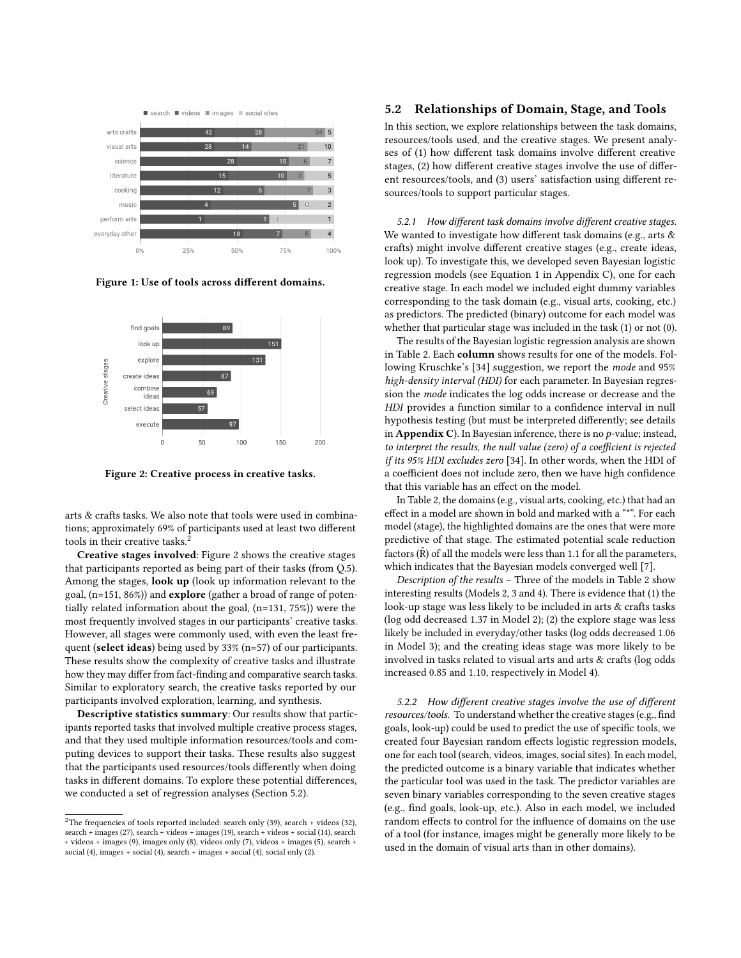<span id="page-4-0"></span>

Figure 1: Use of tools across different domains.

<span id="page-4-2"></span>

Figure 2: Creative process in creative tasks.

arts & crafts tasks. We also note that tools were used in combinations; approximately 69% of participants used at least two different tools in their creative tasks.<sup>[2](#page-4-1)</sup>

Creative stages involved: Figure [2](#page-4-2) shows the creative stages that participants reported as being part of their tasks (from Q.5). Among the stages, **look up** (look up information relevant to the goal, (n=151, 86%)) and explore (gather a broad of range of potentially related information about the goal, (n=131, 75%)) were the most frequently involved stages in our participants' creative tasks. However, all stages were commonly used, with even the least frequent (select ideas) being used by 33% (n=57) of our participants. These results show the complexity of creative tasks and illustrate how they may differ from fact-finding and comparative search tasks. Similar to exploratory search, the creative tasks reported by our participants involved exploration, learning, and synthesis.

Descriptive statistics summary: Our results show that participants reported tasks that involved multiple creative process stages, and that they used multiple information resources/tools and computing devices to support their tasks. These results also suggest that the participants used resources/tools differently when doing tasks in different domains. To explore these potential differences, we conducted a set of regression analyses (Section [5.2\)](#page-4-3).

# <span id="page-4-3"></span>5.2 Relationships of Domain, Stage, and Tools

In this section, we explore relationships between the task domains, resources/tools used, and the creative stages. We present analyses of (1) how different task domains involve different creative stages, (2) how different creative stages involve the use of different resources/tools, and (3) users' satisfaction using different resources/tools to support particular stages.

5.2.1 How different task domains involve different creative stages. We wanted to investigate how different task domains (e.g., arts  $\&$ crafts) might involve different creative stages (e.g., create ideas, look up). To investigate this, we developed seven Bayesian logistic regression models (see Equation [1](#page-9-4) in Appendix [C\)](#page-9-3), one for each creative stage. In each model we included eight dummy variables corresponding to the task domain (e.g., visual arts, cooking, etc.) as predictors. The predicted (binary) outcome for each model was whether that particular stage was included in the task (1) or not (0).

The results of the Bayesian logistic regression analysis are shown in Table [2.](#page-5-0) Each column shows results for one of the models. Following [Kruschke'](#page-8-56)s [\[34\]](#page-8-56) suggestion, we report the mode and 95% high-density interval (HDI) for each parameter. In Bayesian regression the mode indicates the log odds increase or decrease and the HDI provides a function similar to a confidence interval in null hypothesis testing (but must be interpreted differently; see details in Appendix [C](#page-9-3)). In Bayesian inference, there is no  $p$ -value; instead, to interpret the results, the null value (zero) of a coefficient is rejected if its 95% HDI excludes zero [\[34\]](#page-8-56). In other words, when the HDI of a coefficient does not include zero, then we have high confidence that this variable has an effect on the model.

In Table [2,](#page-5-0) the domains (e.g., visual arts, cooking, etc.) that had an effect in a model are shown in bold and marked with a "\*". For each model (stage), the highlighted domains are the ones that were more predictive of that stage. The estimated potential scale reduction factors  $(\hat{R})$  of all the models were less than 1.1 for all the parameters, which indicates that the Bayesian models converged well [\[7\]](#page-8-57).

Description of the results – Three of the models in Table [2](#page-5-0) show interesting results (Models 2, 3 and 4). There is evidence that (1) the look-up stage was less likely to be included in arts & crafts tasks (log odd decreased 1.37 in Model 2); (2) the explore stage was less likely be included in everyday/other tasks (log odds decreased 1.06 in Model 3); and the creating ideas stage was more likely to be involved in tasks related to visual arts and arts & crafts (log odds increased 0.85 and 1.10, respectively in Model 4).

5.2.2 How different creative stages involve the use of different resources/tools. To understand whether the creative stages (e.g., find goals, look-up) could be used to predict the use of specific tools, we created four Bayesian random effects logistic regression models, one for each tool (search, videos, images, social sites). In each model, the predicted outcome is a binary variable that indicates whether the particular tool was used in the task. The predictor variables are seven binary variables corresponding to the seven creative stages (e.g., find goals, look-up, etc.). Also in each model, we included random effects to control for the influence of domains on the use of a tool (for instance, images might be generally more likely to be used in the domain of visual arts than in other domains).

<span id="page-4-1"></span> $2$ The frequencies of tools reported included: search only (39), search + videos (32), search + images (27), search + videos + images (19), search + videos + social (14), search + videos + images (9), images only (8), videos only (7), videos + images (5), search + social (4), images + social (4), search + images + social (4), social only (2).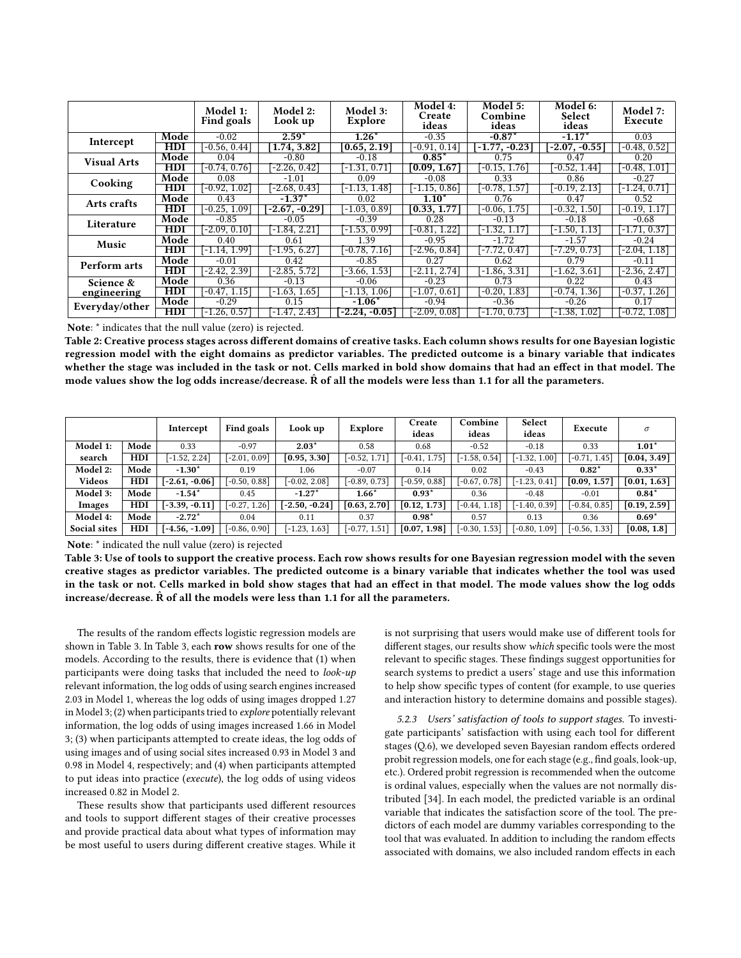<span id="page-5-0"></span>

|                          |              | Model 1:<br><b>Find goals</b> | Model 2:<br>Look up | Model 3:<br>Explore       | Model 4:<br>Create<br>ideas | <b>Model 5:</b><br>Combine<br>ideas | Model 6:<br>Select<br>ideas | Model 7:<br>Execute |
|--------------------------|--------------|-------------------------------|---------------------|---------------------------|-----------------------------|-------------------------------------|-----------------------------|---------------------|
| Intercept                | Mode         | $-0.02$                       | $2.59*$             | $1.26*$                   | $-0.35$                     | $-0.87*$                            | $-1.17*$                    | 0.03                |
|                          | ${\rm HDI}$  | $-0.56, 0.44$                 | 1.74, 3.82          | $\left[0.65, 2.19\right]$ | $-0.91, 0.14$               | $-1.77, -0.23$                      | $-2.07, -0.55$              | $-0.48, 0.52$       |
| <b>Visual Arts</b>       | Mode         | 0.04                          | $-0.80$             | $-0.18$                   | $0.85*$                     | 0.75                                | 0.47                        | 0.20                |
|                          | <b>HDI</b>   | $-0.74, 0.76$                 | $-2.26, 0.42$       | $-1.31, 0.71$             | [0.09, 1.67]                | $-0.15, 1.76$                       | $-0.52, 1.44$               | $-0.48, 1.01$       |
| Cooking                  | Mode         | 0.08                          | $-1.01$             | 0.09                      | $-0.08$                     | 0.33                                | 0.86                        | $-0.27$             |
|                          | $_{\rm HDI}$ | $-0.92, 1.02$                 | $-2.68, 0.43$       | $-1.13, 1.48$             | $-1.15, 0.86$               | $-0.78, 1.57$                       | $-0.19, 2.13$               | $-1.24, 0.71$       |
| Arts crafts              | Mode         | 0.43                          | $-1.37*$            | 0.02                      | $1.10*$                     | 0.76                                | 0.47                        | 0.52                |
|                          | <b>HDI</b>   | $-0.25, 1.09$                 | $-2.67, -0.29$      | $[-1.03, 0.89]$           | [0.33, 1.77]                | $-0.06, 1.75$                       | $-0.32, 1.50$               | $-0.19, 1.17$       |
| Literature               | Mode         | $-0.85$                       | $-0.05$             | $-0.39$                   | 0.28                        | $-0.13$                             | $-0.18$                     | $-0.68$             |
|                          | HDI          | $-2.09, 0.10$                 | $-1.84, 2.21$       | $-1.53, 0.99$             | $-0.81, 1.22$               | $-1.32, 1.17$                       | $-1.50, 1.13$               | $-1.71, 0.37$       |
| Music                    | Mode         | 0.40                          | 0.61                | 1.39                      | $-0.95$                     | $-1.72$                             | $-1.57$                     | $-0.24$             |
|                          | <b>HDI</b>   | -1.14. 1.99]                  | $-1.95, 6.27$       | $-0.78, 7.16$             | -2.96. 0.841                | $-7.72, 0.47$                       | $-7.29, 0.73$               | $-2.04, 1.18$       |
| Perform arts             | Mode         | $-0.01$                       | 0.42                | $-0.85$                   | 0.27                        | 0.62                                | 0.79                        | $-0.11$             |
|                          | HDI          | -2.42, 2.39]                  | $-2.85, 5.72$       | $-3.66, 1.53$             | -2.11. 2.741                | $-1.86, 3.31$                       | $-1.62, 3.61$               | -2.36, 2.47]        |
| Science &<br>engineering | Mode         | 0.36                          | $-0.13$             | $-0.06$                   | $-0.23$                     | 0.73                                | 0.22                        | 0.43                |
|                          | HDI          | $-0.47, 1.15$                 | $-1.63, 1.65$       | $-1.13, 1.06$             | $-1.07, 0.61$               | $-0.20, 1.83$                       | $-0.74, 1.36$               | $-0.37, 1.26$       |
| Everyday/other           | Mode         | $-0.29$                       | 0.15                | $-1.06*$                  | $-0.94$                     | $-0.36$                             | $-0.26$                     | 0.17                |
|                          | HDI          | $-1.26, 0.57$                 | $-1.47, 2.43$       | $-2.24, -0.05$            | $-2.09, 0.08$               | $-1.70, 0.73$                       | $-1.38, 1.02$               | -0.72. 1.081        |

Note: \* indicates that the null value (zero) is rejected.

Table 2: Creative process stages across different domains of creative tasks. Each column shows results for one Bayesian logistic regression model with the eight domains as predictor variables. The predicted outcome is a binary variable that indicates whether the stage was included in the task or not. Cells marked in bold show domains that had an effect in that model. The mode values show the log odds increase/decrease.  $\hat{R}$  of all the models were less than 1.1 for all the parameters.

<span id="page-5-1"></span>

|                 |            | Intercept        | <b>Find goals</b> | Look up          | Explore         | Create<br>ideas | Combine<br>ideas | Select<br>ideas | Execute         | $\sigma$     |
|-----------------|------------|------------------|-------------------|------------------|-----------------|-----------------|------------------|-----------------|-----------------|--------------|
| Model 1:        | Mode       | 0.33             | $-0.97$           | $2.03*$          | 0.58            | 0.68            | $-0.52$          | $-0.18$         | 0.33            | $1.01*$      |
| search          | <b>HDI</b> | $[-1.52, 2.24]$  | $[-2.01, 0.09]$   | [0.95, 3.30]     | $[-0.52, 1.71]$ | $[-0.41, 1.75]$ | $[-1.58, 0.54]$  | $[-1.32, 1.00]$ | $[-0.71, 1.45]$ | [0.04, 3.49] |
| <b>Model 2:</b> | Mode       | $-1.30*$         | 0.19              | 1.06             | $-0.07$         | 0.14            | 0.02             | $-0.43$         | $0.82*$         | $0.33*$      |
| <b>Videos</b>   | <b>HDI</b> | $[-2.61, -0.06]$ | $[-0.50, 0.88]$   | $[-0.02, 2.08]$  | $-0.89, 0.73$ ] | $[-0.59, 0.88]$ | $[-0.67, 0.78]$  | $[-1.23, 0.41]$ | [0.09, 1.57]    | [0.01, 1.63] |
| <b>Model 3:</b> | Mode       | $-1.54*$         | 0.45              | $-1.27*$         | $1.66*$         | $0.93*$         | 0.36             | $-0.48$         | $-0.01$         | $0.84*$      |
| Images          | <b>HDI</b> | $[-3.39, -0.11]$ | $[-0.27, 1.26]$   | $[-2.50, -0.24]$ | [0.63, 2.70]    | [0.12, 1.73]    | $[-0.44, 1.18]$  | $[-1.40, 0.39]$ | $[-0.84, 0.85]$ | [0.19, 2.59] |
| Model 4:        | Mode       | $-2.72*$         | 0.04              | 0.11             | 0.37            | $0.98*$         | 0.57             | 0.13            | 0.36            | $0.69*$      |
| Social sites    | <b>HDI</b> | $[-4.56, -1.09]$ | $[-0.86, 0.90]$   | $[-1.23, 1.63]$  | $-0.77, 1.51$   | [0.07, 1.98]    | $[-0.30, 1.53]$  | $[-0.80, 1.09]$ | $[-0.56, 1.33]$ | [0.08, 1.8]  |

Note: \* indicated the null value (zero) is rejected

Table 3: Use of tools to support the creative process. Each row shows results for one Bayesian regression model with the seven creative stages as predictor variables. The predicted outcome is a binary variable that indicates whether the tool was used in the task or not. Cells marked in bold show stages that had an effect in that model. The mode values show the log odds increase/decrease.  $\hat{R}$  of all the models were less than 1.1 for all the parameters.

The results of the random effects logistic regression models are shown in Table [3.](#page-5-1) In Table [3,](#page-5-1) each row shows results for one of the models. According to the results, there is evidence that (1) when participants were doing tasks that included the need to look-up relevant information, the log odds of using search engines increased 2.03 in Model 1, whereas the log odds of using images dropped 1.27 in Model 3; (2) when participants tried to explore potentially relevant information, the log odds of using images increased 1.66 in Model 3; (3) when participants attempted to create ideas, the log odds of using images and of using social sites increased 0.93 in Model 3 and 0.98 in Model 4, respectively; and (4) when participants attempted to put ideas into practice (execute), the log odds of using videos increased 0.82 in Model 2.

These results show that participants used different resources and tools to support different stages of their creative processes and provide practical data about what types of information may be most useful to users during different creative stages. While it is not surprising that users would make use of different tools for different stages, our results show which specific tools were the most relevant to specific stages. These findings suggest opportunities for search systems to predict a users' stage and use this information to help show specific types of content (for example, to use queries and interaction history to determine domains and possible stages).

5.2.3 Users' satisfaction of tools to support stages. To investigate participants' satisfaction with using each tool for different stages (Q.6), we developed seven Bayesian random effects ordered probit regression models, one for each stage (e.g., find goals, look-up, etc.). Ordered probit regression is recommended when the outcome is ordinal values, especially when the values are not normally distributed [\[34\]](#page-8-56). In each model, the predicted variable is an ordinal variable that indicates the satisfaction score of the tool. The predictors of each model are dummy variables corresponding to the tool that was evaluated. In addition to including the random effects associated with domains, we also included random effects in each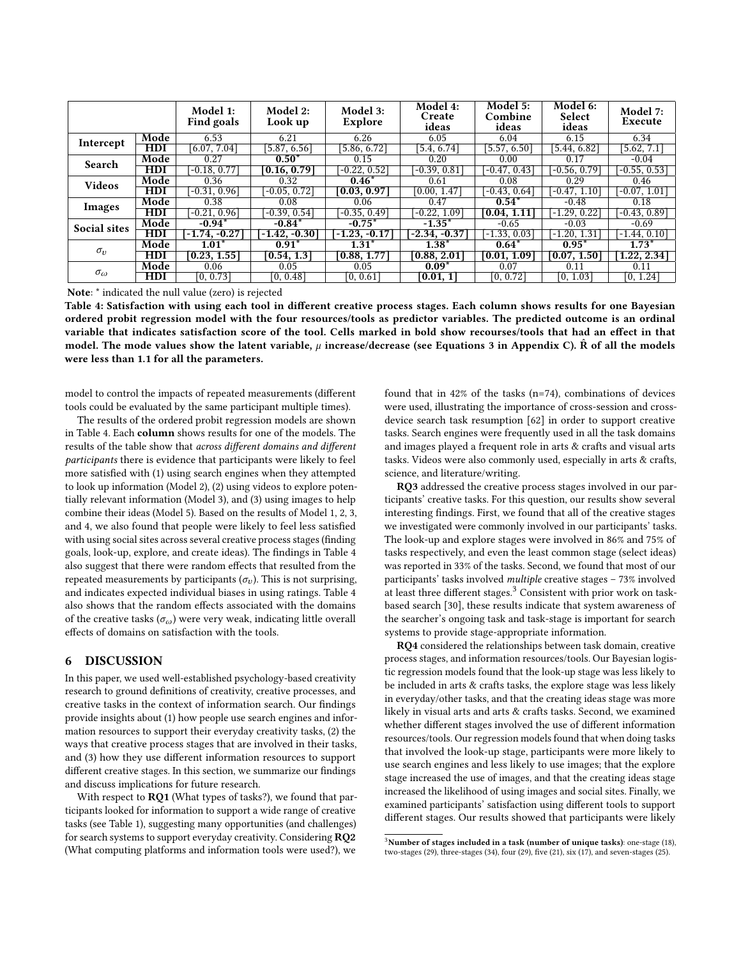<span id="page-6-0"></span>

|                   |                           | Model 1:<br><b>Find goals</b> | Model 2:<br>Look up     | Model 3:<br>Explore      | Model 4:<br>Create<br>ideas | Model 5:<br>Combine<br>ideas | Model 6:<br>Select<br>ideas | Model 7:<br>Execute |
|-------------------|---------------------------|-------------------------------|-------------------------|--------------------------|-----------------------------|------------------------------|-----------------------------|---------------------|
| Intercept         | Mode                      | 6.53                          | 6.21                    | 6.26                     | 6.05                        | 6.04                         | 6.15                        | 6.34                |
|                   | HDI                       | [6.07, 7.04]                  | [5.87, 6.56]            | 5.86, 6.72               | 15.4, 6.74                  | [5.57, 6.50]                 | [5.44, 6.82]                | 5.62, 7.1           |
| Search            | Mode                      | 0.27                          | $0.50*$                 | 0.15                     | 0.20                        | 0.00                         | 0.17                        | $-0.04$             |
|                   | HDI                       | $-0.18, 0.77$                 | [0.16, 0.79]            | $-0.22, 0.52$            | $-0.39, 0.81$               | $-0.47, 0.43$                | $-0.56, 0.79$               | $-0.55, 0.53$       |
| <b>Videos</b>     | Mode                      | 0.36                          | 0.32                    | $0.46*$                  | 0.61                        | 0.08                         | 0.29                        | 0.46                |
|                   | $\overline{\mathrm{HDI}}$ | $-0.31, 0.96$                 | $-0.05, 0.72$           | [0.03, 0.97]             | [0.00, 1.47]                | $-0.43, 0.64$                | $-0.47, 1.10$               | $-0.07, 1.01$       |
| Images            | Mode                      | 0.38                          | 0.08                    | 0.06                     | 0.47                        | $0.54*$                      | $-0.48$                     | 0.18                |
|                   | ${\rm HDI}$               | $-0.21, 0.96$                 | $-0.39, 0.54$           | $-0.35, 0.49$            | $-0.22, 1.09$               | $\vert 0.04, 1.11 \vert$     | $-1.29, 0.22$               | $-0.43, 0.89$       |
| Social sites      | Mode                      | $-0.94*$                      | $-0.84*$                | $-0.75*$                 | $-1.35*$                    | $-0.65$                      | $-0.03$                     | $-0.69$             |
|                   | ${\rm HDI}$               | $-1.74, -0.27$                | $-1.42, -0.30$          | $-1.23, -0.17$           | $-2.34, -0.37$              | $-1.33, 0.03$                | $-1.20, 1.31$               | $-1.44, 0.10$       |
| $\sigma_v$        | Mode                      | $1.01*$                       | $0.91*$                 | $1.31*$                  | $1.38*$                     | $0.64*$                      | $0.95*$                     | $1.73*$             |
|                   | HDI                       | $\vert 0.23, 1.55 \vert$      | $\vert 0.54, 1.3 \vert$ | $\vert 0.88, 1.77 \vert$ | $\vert 0.88, 2.01 \vert$    | [0.01, 1.09]                 | $\vert 0.07, 1.50 \vert$    | 1.22, 2.34          |
| $\sigma_{\omega}$ | Mode                      | 0.06                          | 0.05                    | 0.05                     | $0.09*$                     | 0.07                         | 0.11                        | 0.11                |
|                   | HDI                       | [0, 0.73]                     | [0, 0.48]               | [0, 0.61]                | [0.01, 1]                   | [0, 0.72]                    | [0, 1.03]                   | [0, 1.24]           |

Note: \* indicated the null value (zero) is rejected

Table 4: Satisfaction with using each tool in different creative process stages. Each column shows results for one Bayesian ordered probit regression model with the four resources/tools as predictor variables. The predicted outcome is an ordinal variable that indicates satisfaction score of the tool. Cells marked in bold show recourses/tools that had an effect in that model. The mode values show the latent variable,  $\mu$  increase/decrease (see Equations [3](#page-9-5) in Appendix [C\)](#page-9-3).  $\hat{R}$  of all the models were less than 1.1 for all the parameters.

model to control the impacts of repeated measurements (different tools could be evaluated by the same participant multiple times).

The results of the ordered probit regression models are shown in Table [4.](#page-6-0) Each column shows results for one of the models. The results of the table show that across different domains and different participants there is evidence that participants were likely to feel more satisfied with (1) using search engines when they attempted to look up information (Model 2), (2) using videos to explore potentially relevant information (Model 3), and (3) using images to help combine their ideas (Model 5). Based on the results of Model 1, 2, 3, and 4, we also found that people were likely to feel less satisfied with using social sites across several creative process stages (finding goals, look-up, explore, and create ideas). The findings in Table [4](#page-6-0) also suggest that there were random effects that resulted from the repeated measurements by participants ( $\sigma$ <sub>v</sub>). This is not surprising, and indicates expected individual biases in using ratings. Table [4](#page-6-0) also shows that the random effects associated with the domains of the creative tasks  $(\sigma_{\omega})$  were very weak, indicating little overall effects of domains on satisfaction with the tools.

#### 6 DISCUSSION

In this paper, we used well-established psychology-based creativity research to ground definitions of creativity, creative processes, and creative tasks in the context of information search. Our findings provide insights about (1) how people use search engines and information resources to support their everyday creativity tasks, (2) the ways that creative process stages that are involved in their tasks, and (3) how they use different information resources to support different creative stages. In this section, we summarize our findings and discuss implications for future research.

With respect to RQ1 (What types of tasks?), we found that participants looked for information to support a wide range of creative tasks (see Table [1\)](#page-3-0), suggesting many opportunities (and challenges) for search systems to support everyday creativity. Considering RQ2 (What computing platforms and information tools were used?), we

found that in 42% of the tasks (n=74), combinations of devices were used, illustrating the importance of cross-session and crossdevice search task resumption [\[62\]](#page-8-55) in order to support creative tasks. Search engines were frequently used in all the task domains and images played a frequent role in arts & crafts and visual arts tasks. Videos were also commonly used, especially in arts & crafts, science, and literature/writing.

RQ3 addressed the creative process stages involved in our participants' creative tasks. For this question, our results show several interesting findings. First, we found that all of the creative stages we investigated were commonly involved in our participants' tasks. The look-up and explore stages were involved in 86% and 75% of tasks respectively, and even the least common stage (select ideas) was reported in 33% of the tasks. Second, we found that most of our participants' tasks involved multiple creative stages – 73% involved at least three different stages. $3$  Consistent with prior work on taskbased search [\[30\]](#page-8-58), these results indicate that system awareness of the searcher's ongoing task and task-stage is important for search systems to provide stage-appropriate information.

RQ4 considered the relationships between task domain, creative process stages, and information resources/tools. Our Bayesian logistic regression models found that the look-up stage was less likely to be included in arts & crafts tasks, the explore stage was less likely in everyday/other tasks, and that the creating ideas stage was more likely in visual arts and arts & crafts tasks. Second, we examined whether different stages involved the use of different information resources/tools. Our regression models found that when doing tasks that involved the look-up stage, participants were more likely to use search engines and less likely to use images; that the explore stage increased the use of images, and that the creating ideas stage increased the likelihood of using images and social sites. Finally, we examined participants' satisfaction using different tools to support different stages. Our results showed that participants were likely

<span id="page-6-1"></span> $^3$  Number of stages included in a task (number of unique tasks): one-stage (18), two-stages (29), three-stages (34), four (29), five (21),  $\text{six}$  (17), and seven-stages (25).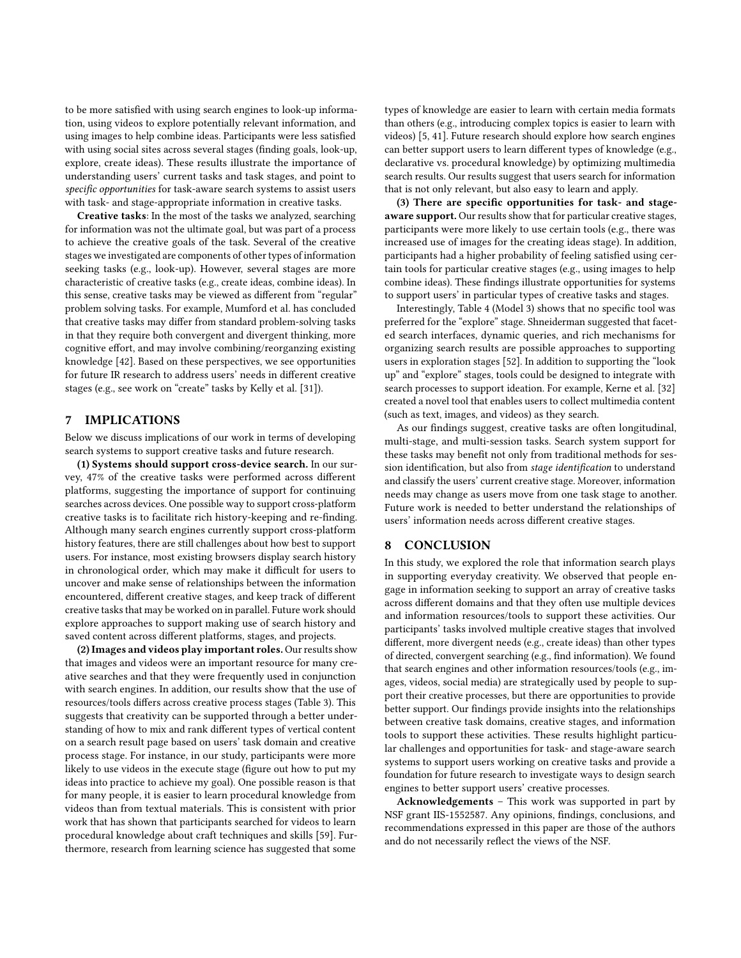to be more satisfied with using search engines to look-up information, using videos to explore potentially relevant information, and using images to help combine ideas. Participants were less satisfied with using social sites across several stages (finding goals, look-up, explore, create ideas). These results illustrate the importance of understanding users' current tasks and task stages, and point to specific opportunities for task-aware search systems to assist users with task- and stage-appropriate information in creative tasks.

Creative tasks: In the most of the tasks we analyzed, searching for information was not the ultimate goal, but was part of a process to achieve the creative goals of the task. Several of the creative stages we investigated are components of other types of information seeking tasks (e.g., look-up). However, several stages are more characteristic of creative tasks (e.g., create ideas, combine ideas). In this sense, creative tasks may be viewed as different from "regular" problem solving tasks. For example, [Mumford et al.](#page-8-10) has concluded that creative tasks may differ from standard problem-solving tasks in that they require both convergent and divergent thinking, more cognitive effort, and may involve combining/reorganzing existing knowledge [\[42\]](#page-8-10). Based on these perspectives, we see opportunities for future IR research to address users' needs in different creative stages (e.g., see work on "create" tasks by [Kelly et al.](#page-8-59) [\[31\]](#page-8-59)).

# 7 IMPLICATIONS

Below we discuss implications of our work in terms of developing search systems to support creative tasks and future research.

(1) Systems should support cross-device search. In our survey, 47% of the creative tasks were performed across different platforms, suggesting the importance of support for continuing searches across devices. One possible way to support cross-platform creative tasks is to facilitate rich history-keeping and re-finding. Although many search engines currently support cross-platform history features, there are still challenges about how best to support users. For instance, most existing browsers display search history in chronological order, which may make it difficult for users to uncover and make sense of relationships between the information encountered, different creative stages, and keep track of different creative tasks that may be worked on in parallel. Future work should explore approaches to support making use of search history and saved content across different platforms, stages, and projects.

(2) Images and videos play important roles. Our results show that images and videos were an important resource for many creative searches and that they were frequently used in conjunction with search engines. In addition, our results show that the use of resources/tools differs across creative process stages (Table [3\)](#page-5-1). This suggests that creativity can be supported through a better understanding of how to mix and rank different types of vertical content on a search result page based on users' task domain and creative process stage. For instance, in our study, participants were more likely to use videos in the execute stage (figure out how to put my ideas into practice to achieve my goal). One possible reason is that for many people, it is easier to learn procedural knowledge from videos than from textual materials. This is consistent with prior work that has shown that participants searched for videos to learn procedural knowledge about craft techniques and skills [\[59\]](#page-8-60). Furthermore, research from learning science has suggested that some

types of knowledge are easier to learn with certain media formats than others (e.g., introducing complex topics is easier to learn with videos) [\[5,](#page-8-61) [41\]](#page-8-62). Future research should explore how search engines can better support users to learn different types of knowledge (e.g., declarative vs. procedural knowledge) by optimizing multimedia search results. Our results suggest that users search for information that is not only relevant, but also easy to learn and apply.

(3) There are specific opportunities for task- and stageaware support. Our results show that for particular creative stages, participants were more likely to use certain tools (e.g., there was increased use of images for the creating ideas stage). In addition, participants had a higher probability of feeling satisfied using certain tools for particular creative stages (e.g., using images to help combine ideas). These findings illustrate opportunities for systems to support users' in particular types of creative tasks and stages.

Interestingly, Table [4](#page-6-0) (Model 3) shows that no specific tool was preferred for the "explore" stage. [Shneiderman](#page-8-36) suggested that faceted search interfaces, dynamic queries, and rich mechanisms for organizing search results are possible approaches to supporting users in exploration stages [\[52\]](#page-8-36). In addition to supporting the "look up" and "explore" stages, tools could be designed to integrate with search processes to support ideation. For example, [Kerne et al.](#page-8-43) [\[32\]](#page-8-43) created a novel tool that enables users to collect multimedia content (such as text, images, and videos) as they search.

As our findings suggest, creative tasks are often longitudinal, multi-stage, and multi-session tasks. Search system support for these tasks may benefit not only from traditional methods for session identification, but also from stage identification to understand and classify the users' current creative stage. Moreover, information needs may change as users move from one task stage to another. Future work is needed to better understand the relationships of users' information needs across different creative stages.

# 8 CONCLUSION

In this study, we explored the role that information search plays in supporting everyday creativity. We observed that people engage in information seeking to support an array of creative tasks across different domains and that they often use multiple devices and information resources/tools to support these activities. Our participants' tasks involved multiple creative stages that involved different, more divergent needs (e.g., create ideas) than other types of directed, convergent searching (e.g., find information). We found that search engines and other information resources/tools (e.g., images, videos, social media) are strategically used by people to support their creative processes, but there are opportunities to provide better support. Our findings provide insights into the relationships between creative task domains, creative stages, and information tools to support these activities. These results highlight particular challenges and opportunities for task- and stage-aware search systems to support users working on creative tasks and provide a foundation for future research to investigate ways to design search engines to better support users' creative processes.

Acknowledgements – This work was supported in part by NSF grant IIS-1552587. Any opinions, findings, conclusions, and recommendations expressed in this paper are those of the authors and do not necessarily reflect the views of the NSF.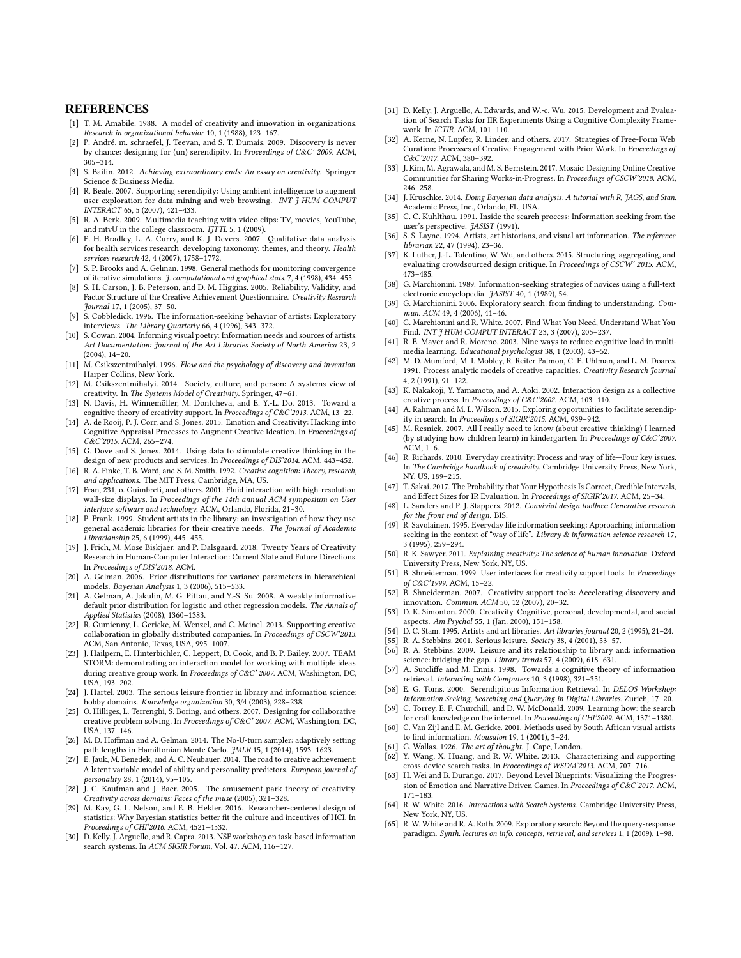# **REFERENCES**

- <span id="page-8-8"></span>[1] T. M. Amabile. 1988. A model of creativity and innovation in organizations. Research in organizational behavior 10, 1 (1988), 123–167.
- <span id="page-8-27"></span>[2] P. André, m. schraefel, J. Teevan, and S. T. Dumais. 2009. Discovery is never by chance: designing for (un) serendipity. In Proceedings of C&C' 2009. ACM, 305–314.
- <span id="page-8-37"></span>[3] S. Bailin. 2012. Achieving extraordinary ends: An essay on creativity. Springer Science & Business Media.
- <span id="page-8-25"></span>[4] R. Beale. 2007. Supporting serendipity: Using ambient intelligence to augment user exploration for data mining and web browsing. INT J HUM COMPUT INTERACT 65, 5 (2007), 421–433.
- <span id="page-8-61"></span>[5] R. A. Berk. 2009. Multimedia teaching with video clips: TV, movies, YouTube, and mtvU in the college classroom.  $I\widetilde{JT}TL$  5, 1 (2009).
- <span id="page-8-51"></span>[6] E. H. Bradley, L. A. Curry, and K. J. Devers. 2007. Qualitative data analysis for health services research: developing taxonomy, themes, and theory. Health services research 42, 4 (2007), 1758–1772.
- <span id="page-8-57"></span>[7] S. P. Brooks and A. Gelman. 1998. General methods for monitoring convergence of iterative simulations. J. computational and graphical stats. 7, 4 (1998), 434–455.
- <span id="page-8-13"></span>[8] S. H. Carson, J. B. Peterson, and D. M. Higgins. 2005. Reliability, Validity, and Factor Structure of the Creative Achievement Questionnaire. Creativity Research Journal 17, 1 (2005), 37–50.
- <span id="page-8-28"></span>[9] S. Cobbledick. 1996. The information-seeking behavior of artists: Exploratory interviews. The Library Quarterly 66, 4 (1996), 343–372.
- <span id="page-8-29"></span>[10] S. Cowan. 2004. Informing visual poetry: Information needs and sources of artists. Art Documentation: Journal of the Art Libraries Society of North America 23, 2 (2004), 14–20.
- <span id="page-8-11"></span>[11] M. Csikszentmihalyi. 1996. Flow and the psychology of discovery and invention. Harper Collins, New York.
- <span id="page-8-12"></span>[12] M. Csikszentmihalyi. 2014. Society, culture, and person: A systems view of creativity. In The Systems Model of Creativity. Springer, 47–61.
- <span id="page-8-34"></span>[13] N. Davis, H. Winnemöller, M. Dontcheva, and E. Y.-L. Do. 2013. Toward a cognitive theory of creativity support. In Proceedings of C&C'2013. ACM, 13–22.
- <span id="page-8-35"></span>[14] A. de Rooij, P. J. Corr, and S. Jones. 2015. Emotion and Creativity: Hacking into Cognitive Appraisal Processes to Augment Creative Ideation. In Proceedings of C&C'2015. ACM, 265–274.
- <span id="page-8-42"></span>[15] G. Dove and S. Jones. 2014. Using data to stimulate creative thinking in the design of new products and services. In Proceedings of DIS'2014. ACM, 443–452.
- <span id="page-8-9"></span>[16] R. A. Finke, T. B. Ward, and S. M. Smith. 1992. Creative cognition: Theory, research, and applications. The MIT Press, Cambridge, MA, US.
- <span id="page-8-38"></span>[17] Fran, 231, o. Guimbreti, and others. 2001. Fluid interaction with high-resolution wall-size displays. In Proceedings of the 14th annual ACM symposium on User interface software and technology. ACM, Orlando, Florida, 21–30.
- <span id="page-8-30"></span>[18] P. Frank. 1999. Student artists in the library: an investigation of how they use general academic libraries for their creative needs. The Journal of Academic Librarianship 25, 6 (1999), 445–455.
- <span id="page-8-49"></span>[19] J. Frich, M. Mose Biskjaer, and P. Dalsgaard. 2018. Twenty Years of Creativity Research in Human-Computer Interaction: Current State and Future Directions. In Proceedings of DIS'2018. ACM.
- <span id="page-8-64"></span>[20] A. Gelman. 2006. Prior distributions for variance parameters in hierarchical models. Bayesian Analysis 1, 3 (2006), 515–533.
- <span id="page-8-63"></span>[21] A. Gelman, A. Jakulin, M. G. Pittau, and Y.-S. Su. 2008. A weakly informative default prior distribution for logistic and other regression models. The Annals of Applied Statistics (2008), 1360–1383.
- <span id="page-8-39"></span>[22] R. Gumienny, L. Gericke, M. Wenzel, and C. Meinel. 2013. Supporting creative collaboration in globally distributed companies. In Proceedings of CSCW'2013. ACM, San Antonio, Texas, USA, 995–1007.
- <span id="page-8-40"></span>[23] J. Hailpern, E. Hinterbichler, C. Leppert, D. Cook, and B. P. Bailey. 2007. TEAM STORM: demonstrating an interaction model for working with multiple ideas during creative group work. In Proceedings of C&C' 2007. ACM, Washington, DC, USA, 193–202.
- <span id="page-8-21"></span>[24] J. Hartel. 2003. The serious leisure frontier in library and information science: hobby domains. Knowledge organization 30, 3/4 (2003), 228–238.
- <span id="page-8-41"></span>[25] O. Hilliges, L. Terrenghi, S. Boring, and others. 2007. Designing for collaborative creative problem solving. In Proceedings of C&C' 2007. ACM, Washington, DC, USA, 137–146.
- <span id="page-8-54"></span>[26] M. D. Hoffman and A. Gelman. 2014. The No-U-turn sampler: adaptively setting path lengths in Hamiltonian Monte Carlo. JMLR 15, 1 (2014), 1593–1623.
- <span id="page-8-4"></span>[27] E. Jauk, M. Benedek, and A. C. Neubauer. 2014. The road to creative achievement: A latent variable model of ability and personality predictors. European journal of personality 28, 1 (2014), 95–105.
- <span id="page-8-50"></span>[28] J. C. Kaufman and J. Baer. 2005. The amusement park theory of creativity. Creativity across domains: Faces of the muse (2005), 321–328.
- <span id="page-8-53"></span>[29] M. Kay, G. L. Nelson, and E. B. Hekler. 2016. Researcher-centered design of statistics: Why Bayesian statistics better fit the culture and incentives of HCI. In Proceedings of CHI'2016. ACM, 4521–4532.
- <span id="page-8-58"></span>[30] D. Kelly, J. Arguello, and R. Capra. 2013. NSF workshop on task-based information search systems. In ACM SIGIR Forum, Vol. 47. ACM, 116–127.
- <span id="page-8-59"></span>[31] D. Kelly, J. Arguello, A. Edwards, and W.-c. Wu. 2015. Development and Evaluation of Search Tasks for IIR Experiments Using a Cognitive Complexity Framework. In ICTIR. ACM, 101–110.
- <span id="page-8-43"></span>[32] A. Kerne, N. Lupfer, R. Linder, and others. 2017. Strategies of Free-Form Web Curation: Processes of Creative Engagement with Prior Work. In Proceedings of C&C'2017. ACM, 380–392.
- <span id="page-8-46"></span>[33] J. Kim, M. Agrawala, and M. S. Bernstein. 2017. Mosaic: Designing Online Creative Communities for Sharing Works-in-Progress. In Proceedings of CSCW'2018. ACM, 246–258.
- <span id="page-8-56"></span>[34] J. Kruschke. 2014. Doing Bayesian data analysis: A tutorial with R, JAGS, and Stan. Academic Press, Inc., Orlando, FL, USA.
- <span id="page-8-17"></span>[35] C. C. Kuhlthau. 1991. Inside the search process: Information seeking from the user's perspective. JASIST (1991).
- <span id="page-8-32"></span>[36] S. S. Layne. 1994. Artists, art historians, and visual art information. The reference librarian 22, 47 (1994), 23–36.
- <span id="page-8-47"></span>[37] K. Luther, J.-L. Tolentino, W. Wu, and others. 2015. Structuring, aggregating, and evaluating crowdsourced design critique. In Proceedings of CSCW' 2015. ACM, 473–485.
- <span id="page-8-14"></span>[38] G. Marchionini. 1989. Information-seeking strategies of novices using a full-text electronic encyclopedia. JASIST 40, 1 (1989), 54.
- <span id="page-8-18"></span>[39] G. Marchionini. 2006. Exploratory search: from finding to understanding. Commun. ACM 49, 4 (2006), 41–46.
- <span id="page-8-15"></span>[40] G. Marchionini and R. White. 2007. Find What You Need, Understand What You Find. INT J HUM COMPUT INTERACT 23, 3 (2007), 205-237.
- <span id="page-8-62"></span>[41] R. E. Mayer and R. Moreno. 2003. Nine ways to reduce cognitive load in multimedia learning. Educational psychologist 38, 1 (2003), 43–52.
- <span id="page-8-10"></span>[42] M. D. Mumford, M. I. Mobley, R. Reiter Palmon, C. E. Uhlman, and L. M. Doares. 1991. Process analytic models of creative capacities. Creativity Research Journal 4, 2 (1991), 91–122.
- <span id="page-8-48"></span>[43] K. Nakakoji, Y. Yamamoto, and A. Aoki. 2002. Interaction design as a collective creative process. In Proceedings of C&C'2002. ACM, 103–110.
- <span id="page-8-26"></span>[44] A. Rahman and M. L. Wilson. 2015. Exploring opportunities to facilitate serendipity in search. In Proceedings of SIGIR'2015. ACM, 939–942.
- <span id="page-8-44"></span>[45] M. Resnick. 2007. All I really need to know (about creative thinking) I learned (by studying how children learn) in kindergarten. In Proceedings of C&C'2007. ACM, 1–6.
- <span id="page-8-1"></span>[46] R. Richards. 2010. Everyday creativity: Process and way of life—Four key issues. In The Cambridge handbook of creativity. Cambridge University Press, New York, NY, US, 189–215.
- <span id="page-8-52"></span>[47] T. Sakai. 2017. The Probability that Your Hypothesis Is Correct, Credible Intervals, and Effect Sizes for IR Evaluation. In Proceedings of SIGIR'2017. ACM, 25-34.
- <span id="page-8-6"></span>[48] L. Sanders and P. J. Stappers. 2012. Convivial design toolbox: Generative research for the front end of design. BIS.
- <span id="page-8-20"></span>[49] R. Savolainen. 1995. Everyday life information seeking: Approaching information seeking in the context of "way of life". Library & information science research 17, 3 (1995), 259–294.
- <span id="page-8-0"></span>[50] R. K. Sawyer. 2011. Explaining creativity: The science of human innovation. Oxford University Press, New York, NY, US.
- <span id="page-8-2"></span>[51] B. Shneiderman. 1999. User interfaces for creativity support tools. In Proceedings of C&C'1999. ACM, 15–22.
- <span id="page-8-36"></span>[52] B. Shneiderman. 2007. Creativity support tools: Accelerating discovery and innovation. Commun. ACM 50, 12 (2007), 20–32.
- <span id="page-8-5"></span>[53] D. K. Simonton. 2000. Creativity. Cognitive, personal, developmental, and social aspects. Am Psychol 55, 1 (Jan. 2000), 151–158.
- <span id="page-8-33"></span>[54] D. C. Stam. 1995. Artists and art libraries. Art libraries journal 20, 2 (1995), 21–24.
- <span id="page-8-22"></span>[55] R. A. Stebbins. 2001. Serious leisure. Society 38, 4 (2001), 53–57.
- <span id="page-8-23"></span>[56] R. A. Stebbins. 2009. Leisure and its relationship to library and: information science: bridging the gap. Library trends 57, 4 (2009), 618–631.
- <span id="page-8-16"></span>[57] A. Sutcliffe and M. Ennis. 1998. Towards a cognitive theory of information retrieval. Interacting with Computers 10, 3 (1998), 321–351.
- <span id="page-8-24"></span>[58] E. G. Toms. 2000. Serendipitous Information Retrieval. In DELOS Workshop: Information Seeking, Searching and Querying in Digital Libraries. Zurich, 17–20.
- <span id="page-8-60"></span>[59] C. Torrey, E. F. Churchill, and D. W. McDonald. 2009. Learning how: the search for craft knowledge on the internet. In Proceedings of CHI'2009. ACM, 1371–1380.
- <span id="page-8-31"></span>[60] C. Van Zijl and E. M. Gericke. 2001. Methods used by South African visual artists to find information. Mousaion 19, 1 (2001), 3-24.
- <span id="page-8-7"></span>[61] G. Wallas. 1926. The art of thought. J. Cape, London.
- <span id="page-8-55"></span>[62] Y. Wang, X. Huang, and R. W. White. 2013. Characterizing and supporting cross-device search tasks. In Proceedings of WSDM'2013. ACM, 707–716.
- <span id="page-8-45"></span>[63] H. Wei and B. Durango. 2017. Beyond Level Blueprints: Visualizing the Progression of Emotion and Narrative Driven Games. In Proceedings of C&C'2017. ACM, 171–183.
- <span id="page-8-3"></span>[64] R. W. White. 2016. Interactions with Search Systems. Cambridge University Press, New York, NY, US.
- <span id="page-8-19"></span>[65] R. W. White and R. A. Roth. 2009. Exploratory search: Beyond the query-response paradigm. Synth. lectures on info. concepts, retrieval, and services 1, 1 (2009), 1–98.